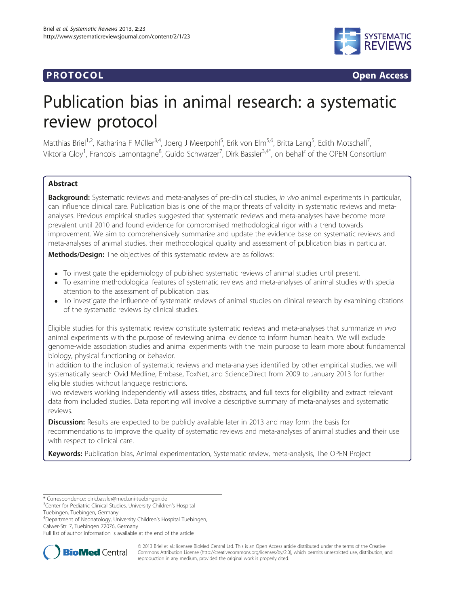## **PROTOCOL CONSUMING ACCESS**



# Publication bias in animal research: a systematic review protocol

Matthias Briel<sup>1,2</sup>, Katharina F Müller<sup>3,4</sup>, Joerg J Meerpohl<sup>5</sup>, Erik von Elm<sup>5,6</sup>, Britta Lang<sup>5</sup>, Edith Motschall<sup>7</sup> , Viktoria Gloy<sup>1</sup>, Francois Lamontagne<sup>8</sup>, Guido Schwarzer<sup>7</sup>, Dirk Bassler<sup>3,4\*</sup>, on behalf of the OPEN Consortium

## Abstract

Background: Systematic reviews and meta-analyses of pre-clinical studies, in vivo animal experiments in particular, can influence clinical care. Publication bias is one of the major threats of validity in systematic reviews and metaanalyses. Previous empirical studies suggested that systematic reviews and meta-analyses have become more prevalent until 2010 and found evidence for compromised methodological rigor with a trend towards improvement. We aim to comprehensively summarize and update the evidence base on systematic reviews and meta-analyses of animal studies, their methodological quality and assessment of publication bias in particular.

Methods/Design: The objectives of this systematic review are as follows:

- To investigate the epidemiology of published systematic reviews of animal studies until present.
- To examine methodological features of systematic reviews and meta-analyses of animal studies with special attention to the assessment of publication bias.
- To investigate the influence of systematic reviews of animal studies on clinical research by examining citations of the systematic reviews by clinical studies.

Eligible studies for this systematic review constitute systematic reviews and meta-analyses that summarize in vivo animal experiments with the purpose of reviewing animal evidence to inform human health. We will exclude genome-wide association studies and animal experiments with the main purpose to learn more about fundamental biology, physical functioning or behavior.

In addition to the inclusion of systematic reviews and meta-analyses identified by other empirical studies, we will systematically search Ovid Medline, Embase, ToxNet, and ScienceDirect from 2009 to January 2013 for further eligible studies without language restrictions.

Two reviewers working independently will assess titles, abstracts, and full texts for eligibility and extract relevant data from included studies. Data reporting will involve a descriptive summary of meta-analyses and systematic reviews.

**Discussion:** Results are expected to be publicly available later in 2013 and may form the basis for recommendations to improve the quality of systematic reviews and meta-analyses of animal studies and their use with respect to clinical care.

Keywords: Publication bias, Animal experimentation, Systematic review, meta-analysis, The OPEN Project

Tuebingen, Tuebingen, Germany

4 Department of Neonatology, University Children's Hospital Tuebingen, Calwer-Str. 7, Tuebingen 72076, Germany

Full list of author information is available at the end of the article



© 2013 Briel et al.; licensee BioMed Central Ltd. This is an Open Access article distributed under the terms of the Creative Commons Attribution License [\(http://creativecommons.org/licenses/by/2.0\)](http://creativecommons.org/licenses/by/2.0), which permits unrestricted use, distribution, and reproduction in any medium, provided the original work is properly cited.

<sup>\*</sup> Correspondence: [dirk.bassler@med.uni-tuebingen.de](mailto:dirk.bassler@med.uni-tuebingen.de) <sup>3</sup>

<sup>&</sup>lt;sup>3</sup> Center for Pediatric Clinical Studies, University Children's Hospital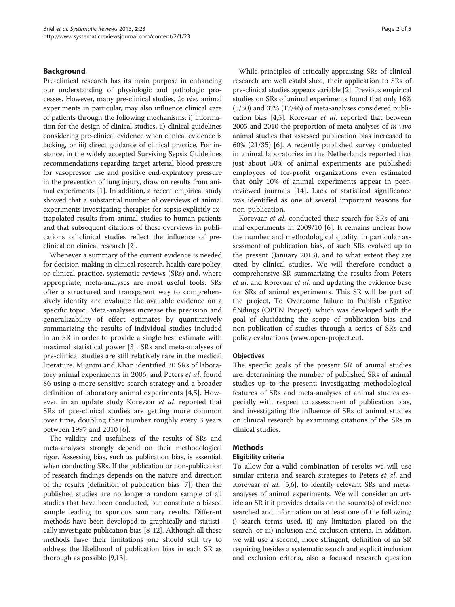## Background

Pre-clinical research has its main purpose in enhancing our understanding of physiologic and pathologic processes. However, many pre-clinical studies, in vivo animal experiments in particular, may also influence clinical care of patients through the following mechanisms: i) information for the design of clinical studies, ii) clinical guidelines considering pre-clinical evidence when clinical evidence is lacking, or iii) direct guidance of clinical practice. For instance, in the widely accepted Surviving Sepsis Guidelines recommendations regarding target arterial blood pressure for vasopressor use and positive end-expiratory pressure in the prevention of lung injury, draw on results from animal experiments [\[1\]](#page-3-0). In addition, a recent empirical study showed that a substantial number of overviews of animal experiments investigating therapies for sepsis explicitly extrapolated results from animal studies to human patients and that subsequent citations of these overviews in publications of clinical studies reflect the influence of preclinical on clinical research [\[2\]](#page-3-0).

Whenever a summary of the current evidence is needed for decision-making in clinical research, health-care policy, or clinical practice, systematic reviews (SRs) and, where appropriate, meta-analyses are most useful tools. SRs offer a structured and transparent way to comprehensively identify and evaluate the available evidence on a specific topic. Meta-analyses increase the precision and generalizability of effect estimates by quantitatively summarizing the results of individual studies included in an SR in order to provide a single best estimate with maximal statistical power [\[3](#page-3-0)]. SRs and meta-analyses of pre-clinical studies are still relatively rare in the medical literature. Mignini and Khan identified 30 SRs of laboratory animal experiments in 2006, and Peters et al. found 86 using a more sensitive search strategy and a broader definition of laboratory animal experiments [\[4,5](#page-3-0)]. However, in an update study Korevaar et al. reported that SRs of pre-clinical studies are getting more common over time, doubling their number roughly every 3 years between 1997 and 2010 [\[6](#page-3-0)].

The validity and usefulness of the results of SRs and meta-analyses strongly depend on their methodological rigor. Assessing bias, such as publication bias, is essential, when conducting SRs. If the publication or non-publication of research findings depends on the nature and direction of the results (definition of publication bias [[7](#page-3-0)]) then the published studies are no longer a random sample of all studies that have been conducted, but constitute a biased sample leading to spurious summary results. Different methods have been developed to graphically and statistically investigate publication bias [\[8](#page-3-0)-[12](#page-3-0)]. Although all these methods have their limitations one should still try to address the likelihood of publication bias in each SR as thorough as possible [[9,13](#page-3-0)].

While principles of critically appraising SRs of clinical research are well established, their application to SRs of pre-clinical studies appears variable [[2\]](#page-3-0). Previous empirical studies on SRs of animal experiments found that only 16% (5/30) and 37% (17/46) of meta-analyses considered publication bias [\[4,5](#page-3-0)]. Korevaar et al. reported that between 2005 and 2010 the proportion of meta-analyses of in vivo animal studies that assessed publication bias increased to 60% (21/35) [\[6](#page-3-0)]. A recently published survey conducted in animal laboratories in the Netherlands reported that just about 50% of animal experiments are published; employees of for-profit organizations even estimated that only 10% of animal experiments appear in peerreviewed journals [[14](#page-3-0)]. Lack of statistical significance was identified as one of several important reasons for non-publication.

Korevaar et al. conducted their search for SRs of animal experiments in 2009/10 [\[6\]](#page-3-0). It remains unclear how the number and methodological quality, in particular assessment of publication bias, of such SRs evolved up to the present (January 2013), and to what extent they are cited by clinical studies. We will therefore conduct a comprehensive SR summarizing the results from Peters et al. and Korevaar et al. and updating the evidence base for SRs of animal experiments. This SR will be part of the project, To Overcome failure to Publish nEgative fiNdings (OPEN Project), which was developed with the goal of elucidating the scope of publication bias and non-publication of studies through a series of SRs and policy evaluations ([www.open-project.eu\)](http://www.open-project.eu).

## **Objectives**

The specific goals of the present SR of animal studies are: determining the number of published SRs of animal studies up to the present; investigating methodological features of SRs and meta-analyses of animal studies especially with respect to assessment of publication bias, and investigating the influence of SRs of animal studies on clinical research by examining citations of the SRs in clinical studies.

## Methods

## Eligibility criteria

To allow for a valid combination of results we will use similar criteria and search strategies to Peters et al. and Korevaar *et al.* [[5](#page-3-0),[6](#page-3-0)], to identify relevant SRs and metaanalyses of animal experiments. We will consider an article an SR if it provides details on the source(s) of evidence searched and information on at least one of the following: i) search terms used, ii) any limitation placed on the search, or iii) inclusion and exclusion criteria. In addition, we will use a second, more stringent, definition of an SR requiring besides a systematic search and explicit inclusion and exclusion criteria, also a focused research question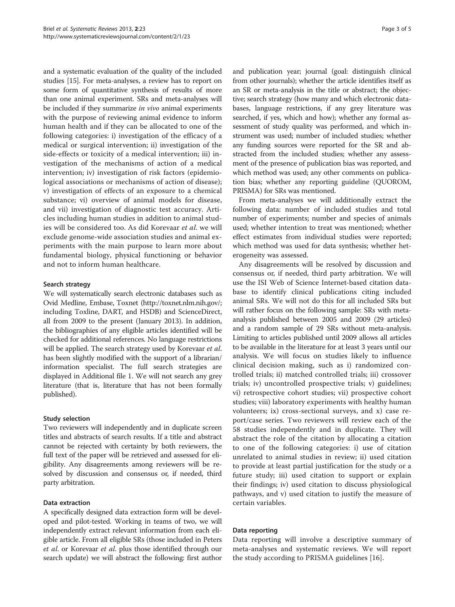and a systematic evaluation of the quality of the included studies [[15](#page-4-0)]. For meta-analyses, a review has to report on some form of quantitative synthesis of results of more than one animal experiment. SRs and meta-analyses will be included if they summarize in vivo animal experiments with the purpose of reviewing animal evidence to inform human health and if they can be allocated to one of the following categories: i) investigation of the efficacy of a medical or surgical intervention; ii) investigation of the side-effects or toxicity of a medical intervention; iii) investigation of the mechanisms of action of a medical intervention; iv) investigation of risk factors (epidemiological associations or mechanisms of action of disease); v) investigation of effects of an exposure to a chemical substance; vi) overview of animal models for disease, and vii) investigation of diagnostic test accuracy. Articles including human studies in addition to animal studies will be considered too. As did Korevaar et al. we will exclude genome-wide association studies and animal experiments with the main purpose to learn more about fundamental biology, physical functioning or behavior and not to inform human healthcare.

## Search strategy

We will systematically search electronic databases such as Ovid Medline, Embase, Toxnet [\(http://toxnet.nlm.nih.gov/](http://toxnet.nlm.nih.gov/); including Toxline, DART, and HSDB) and ScienceDirect, all from 2009 to the present (January 2013). In addition, the bibliographies of any eligible articles identified will be checked for additional references. No language restrictions will be applied. The search strategy used by Korevaar et al. has been slightly modified with the support of a librarian/ information specialist. The full search strategies are displayed in Additional file [1](#page-3-0). We will not search any grey literature (that is, literature that has not been formally published).

## Study selection

Two reviewers will independently and in duplicate screen titles and abstracts of search results. If a title and abstract cannot be rejected with certainty by both reviewers, the full text of the paper will be retrieved and assessed for eligibility. Any disagreements among reviewers will be resolved by discussion and consensus or, if needed, third party arbitration.

## Data extraction

A specifically designed data extraction form will be developed and pilot-tested. Working in teams of two, we will independently extract relevant information from each eligible article. From all eligible SRs (those included in Peters et al. or Korevaar et al. plus those identified through our search update) we will abstract the following: first author and publication year; journal (goal: distinguish clinical from other journals); whether the article identifies itself as an SR or meta-analysis in the title or abstract; the objective; search strategy (how many and which electronic databases, language restrictions, if any grey literature was searched, if yes, which and how); whether any formal assessment of study quality was performed, and which instrument was used; number of included studies; whether any funding sources were reported for the SR and abstracted from the included studies; whether any assessment of the presence of publication bias was reported, and which method was used; any other comments on publication bias; whether any reporting guideline (QUOROM, PRISMA) for SRs was mentioned.

From meta-analyses we will additionally extract the following data: number of included studies and total number of experiments; number and species of animals used; whether intention to treat was mentioned; whether effect estimates from individual studies were reported; which method was used for data synthesis; whether heterogeneity was assessed.

Any disagreements will be resolved by discussion and consensus or, if needed, third party arbitration. We will use the ISI Web of Science Internet-based citation database to identify clinical publications citing included animal SRs. We will not do this for all included SRs but will rather focus on the following sample: SRs with metaanalysis published between 2005 and 2009 (29 articles) and a random sample of 29 SRs without meta-analysis. Limiting to articles published until 2009 allows all articles to be available in the literature for at least 3 years until our analysis. We will focus on studies likely to influence clinical decision making, such as i) randomized controlled trials; ii) matched controlled trials; iii) crossover trials; iv) uncontrolled prospective trials; v) guidelines; vi) retrospective cohort studies; vii) prospective cohort studies; viii) laboratory experiments with healthy human volunteers; ix) cross-sectional surveys, and x) case report/case series. Two reviewers will review each of the 58 studies independently and in duplicate. They will abstract the role of the citation by allocating a citation to one of the following categories: i) use of citation unrelated to animal studies in review; ii) used citation to provide at least partial justification for the study or a future study; iii) used citation to support or explain their findings; iv) used citation to discuss physiological pathways, and v) used citation to justify the measure of certain variables.

## Data reporting

Data reporting will involve a descriptive summary of meta-analyses and systematic reviews. We will report the study according to PRISMA guidelines [\[16](#page-4-0)].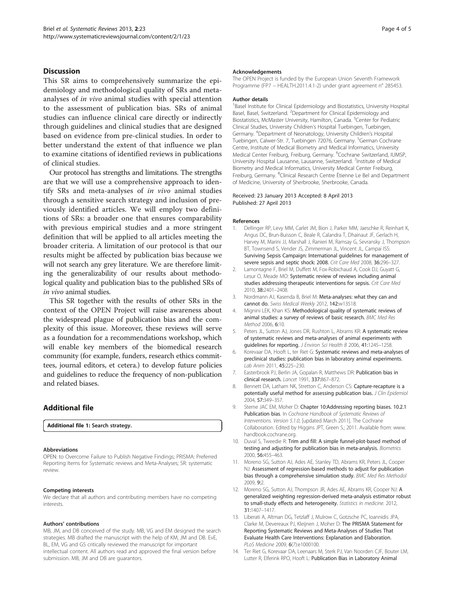## <span id="page-3-0"></span>**Discussion**

This SR aims to comprehensively summarize the epidemiology and methodological quality of SRs and metaanalyses of in vivo animal studies with special attention to the assessment of publication bias. SRs of animal studies can influence clinical care directly or indirectly through guidelines and clinical studies that are designed based on evidence from pre-clinical studies. In order to better understand the extent of that influence we plan to examine citations of identified reviews in publications of clinical studies.

Our protocol has strengths and limitations. The strengths are that we will use a comprehensive approach to identify SRs and meta-analyses of in vivo animal studies through a sensitive search strategy and inclusion of previously identified articles. We will employ two definitions of SRs: a broader one that ensures comparability with previous empirical studies and a more stringent definition that will be applied to all articles meeting the broader criteria. A limitation of our protocol is that our results might be affected by publication bias because we will not search any grey literature. We are therefore limiting the generalizability of our results about methodological quality and publication bias to the published SRs of in vivo animal studies.

This SR together with the results of other SRs in the context of the OPEN Project will raise awareness about the widespread plague of publication bias and the complexity of this issue. Moreover, these reviews will serve as a foundation for a recommendations workshop, which will enable key members of the biomedical research community (for example, funders, research ethics committees, journal editors, et cetera.) to develop future policies and guidelines to reduce the frequency of non-publication and related biases.

## Additional file

[Additional file 1:](http://www.biomedcentral.com/content/supplementary/2046-4053-2-23-S1.docx) Search strategy.

#### Abbreviations

OPEN: to Overcome Failure to Publish Negative Findings; PRISMA: Preferred Reporting Items for Systematic reviews and Meta-Analyses; SR: systematic review.

#### Competing interests

We declare that all authors and contributing members have no competing interests.

#### Authors' contributions

MB, JM, and DB conceived of the study. MB, VG and EM designed the search strategies. MB drafted the manuscript with the help of KM, JM and DB. EvE, BL, EM, VG and GS critically reviewed the manuscript for important intellectual content. All authors read and approved the final version before submission. MB, JM and DB are guarantors.

#### Acknowledgements

The OPEN Project is funded by the European Union Seventh Framework Programme (FP7 – HEALTH.2011.4.1-2) under grant agreement n° 285453.

#### Author details

<sup>1</sup>Basel Institute for Clinical Epidemiology and Biostatistics, University Hospital Basel, Basel, Switzerland. <sup>2</sup>Department for Clinical Epidemiology and Biostatistics, McMaster University, Hamilton, Canada. <sup>3</sup>Center for Pediatric Clinical Studies, University Children's Hospital Tuebingen, Tuebingen, Germany. <sup>4</sup> Department of Neonatology, University Children's Hospital Tuebingen, Calwer-Str. 7, Tuebingen 72076, Germany. <sup>5</sup>German Cochrane Centre, Institute of Medical Biometry and Medical Informatics, University Medical Center Freiburg, Freiburg, Germany. <sup>6</sup>Cochrane Switzerland, IUMSP University Hospital Lausanne, Lausanne, Switzerland. <sup>7</sup>Institute of Medical Biometry and Medical Informatics, University Medical Center Freiburg, Freiburg, Germany. <sup>8</sup>Clinical Research Centre Ètienne Le Bel and Department of Medicine, University of Sherbrooke, Sherbrooke, Canada.

#### Received: 23 January 2013 Accepted: 8 April 2013 Published: 27 April 2013

#### References

- 1. Dellinger RP, Levy MM, Carlet JM, Bion J, Parker MM, Jaeschke R, Reinhart K, Angus DC, Brun-Buisson C, Beale R, Calandra T, Dhainaut JF, Gerlach H, Harvey M, Marini JJ, Marshall J, Ranieri M, Ramsay G, Sevransky J, Thompson BT, Townsend S, Vender JS, Zimmerman JL, Vincent JL, Campai ISS: Surviving Sepsis Campaign: International guidelines for management of severe sepsis and septic shock: 2008. Crit Care Med 2008, 36:296-327.
- 2. Lamontagne F, Briel M, Duffett M, Fox-Robichaud A, Cook DJ, Guyatt G, Lesur O, Meade MO: Systematic review of reviews including animal studies addressing therapeutic interventions for sepsis. Crit Care Med 2010, 38:2401–2408.
- 3. Nordmann AJ, Kasenda B, Briel M: Meta-analyses: what they can and cannot do. Swiss Medical Weekly 2012, 142:w13518.
- 4. Mignini LEK, Khan KS: Methodological quality of systematic reviews of animal studies: a survey of reviews of basic research. BMC Med Res Method 2006, 6:10.
- 5. Peters JL, Sutton AJ, Jones DR, Rushton L, Abrams KR: A systematic review of systematic reviews and meta-analyses of animal experiments with guidelines for reporting. J Environ Sci Health B 2006, 41:1245-1258.
- Korevaar DA, Hooft L, ter Riet G: Systematic reviews and meta-analyses of preclinical studies: publication bias in laboratory animal experiments. Lab Anim 2011, 45:225–230.
- 7. Easterbrook PJ, Berlin JA, Gopalan R, Matthews DR: Publication bias in clinical research. Lancet 1991, 337:867–872.
- 8. Bennett DA, Latham NK, Stretton C, Anderson CS: Capture-recapture is a potentially useful method for assessing publication bias. J Clin Epidemiol 2004, 57:349–357.
- 9. Sterne JAC EM, Moher D: Chapter 10:Addressing reporting biases. 10.2.1 Publication bias. In Cochrane Handbook of Systematic Reviews of Interventions. Version 5.1.0, [updated March 2011]. The Cochrane Collaboration. Edited by Higgins JPT, Green S.; 2011. Available from: [www.](http://www.handbook.cochrane.org) [handbook.cochrane.org](http://www.handbook.cochrane.org).
- 10. Duval S, Tweedie R: Trim and fill: A simple funnel-plot-based method of testing and adjusting for publication bias in meta-analysis. Biometrics 2000, 56:455–463.
- 11. Moreno SG, Sutton AJ, Ades AE, Stanley TD, Abrams KR, Peters JL, Cooper NJ: Assessment of regression-based methods to adjust for publication bias through a comprehensive simulation study. BMC Med Res Methodol 2009, 9:2.
- 12. Moreno SG, Sutton AJ, Thompson JR, Ades AE, Abrams KR, Cooper NJ: A generalized weighting regression-derived meta-analysis estimator robust to small-study effects and heterogeneity. Statistics in medicine. 2012, 31:1407–1417.
- 13. Liberati A, Altman DG, Tetzlaff J, Mulrow C, Gotzsche PC, Ioannidis JPA, Clarke M, Devereaux PJ, Kleijnen J, Moher D: The PRISMA Statement for Reporting Systematic Reviews and Meta-Analyses of Studies That Evaluate Health Care Interventions: Explanation and Elaboration. PLoS Medicine 2009, 6(7):e1000100.
- 14. Ter Riet G, Korevaar DA, Leenaars M, Sterk PJ, Van Noorden CJF, Bouter LM, Lutter R, Elferink RPO, Hooft L: Publication Bias in Laboratory Animal